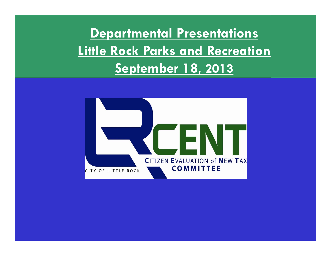**Departmental Presentations Little Rock Parks and Recreation September 18, 2013**

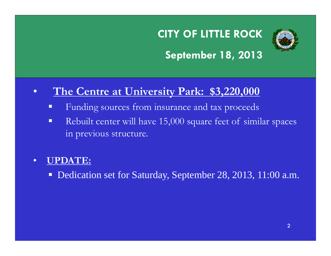

### **September 18, 2013**

#### •**The Centre at University Park: \$3,220,000**

- Funding sources from insurance and tax proceeds
- $\blacksquare$  Rebuilt center will have 15,000 square feet of similar spaces in previous structure.

#### •**UPDATE:**

■ Dedication set for Saturday, September 28, 2013, 11:00 a.m.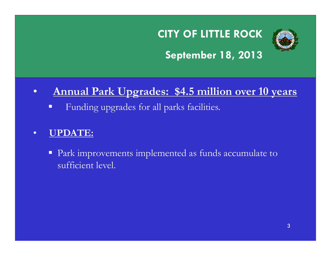

### **September 18, 2013**

#### $\bullet$ **Annual Park Upgrades: \$4.5 million over 10 years**

Funding upgrades for all parks facilities.

#### •**UPDATE:**

**Park improvements implemented as funds accumulate to** sufficient level.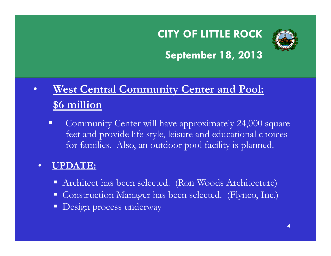

### **September 18, 2013**

#### $\bullet$  **West Central Community Center and Pool: \$6 million**

 $\blacksquare$  Community Center will have approximately 24,000 square feet and provide life style, leisure and educational choices for families. Also, an outdoor pool facility is planned.

#### •**UPDATE:**

- Architect has been selected. (Ron Woods Architecture)
- Construction Manager has been selected. (Flynco, Inc.)
- **Design process underway**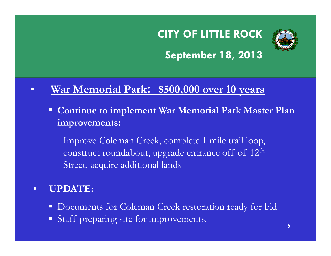

### **September 18, 2013**

#### $\bullet$ **War Memorial Park: \$500,000 over 10 years**

 **Continue to implement War Memorial Park Master Plan improvements:** 

Improve Coleman Creek, complete 1 mile trail loop, construct roundabout, upgrade entrance off of 12<sup>th</sup> Street, acquire additional lands

#### $\bullet$ **UPDATE:**

- Documents for Coleman Creek restoration ready for bid.
- Staff preparing site for improvements.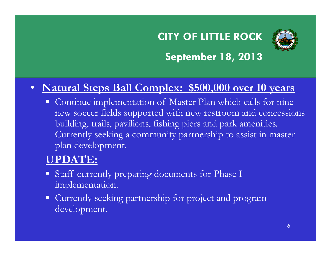

### **September 18, 2013**

### • **Natural Steps Ball Complex: \$500,000 over 10 years**

 $\Box$  Continue implementation of Master Plan which calls for nine new soccer fields supported with new restroom and concessions building, trails, pavilions, fishing piers and park amenities. Currently seeking a community partnership to assist in master plan development.

#### **UPDATE:**

- **Staff currently preparing documents for Phase I** implementation.
- **Currently seeking partnership for project and program** development.